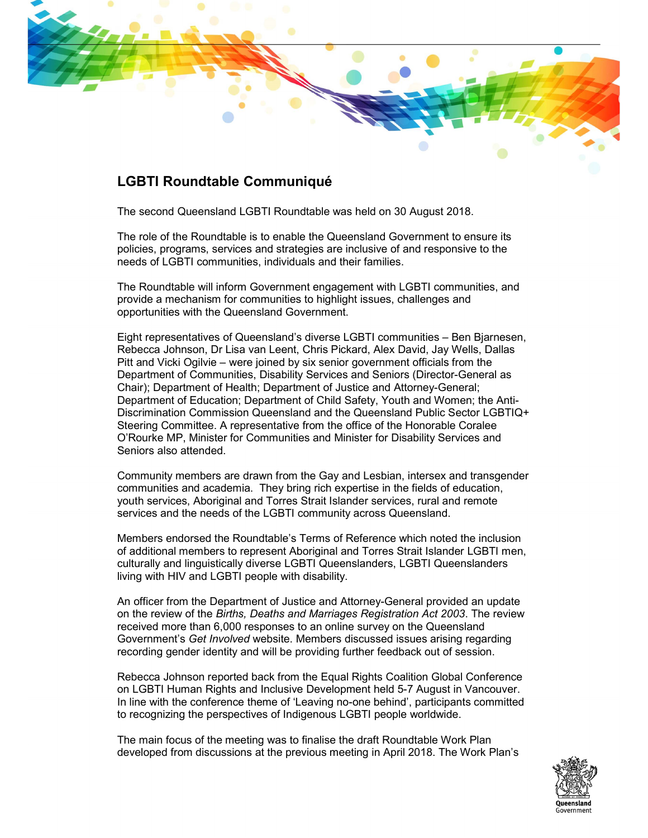

## LGBTI Roundtable Communiqué

The second Queensland LGBTI Roundtable was held on 30 August 2018.

The role of the Roundtable is to enable the Queensland Government to ensure its policies, programs, services and strategies are inclusive of and responsive to the needs of LGBTI communities, individuals and their families.

The Roundtable will inform Government engagement with LGBTI communities, and provide a mechanism for communities to highlight issues, challenges and opportunities with the Queensland Government.

Eight representatives of Queensland's diverse LGBTI communities – Ben Bjarnesen, Rebecca Johnson, Dr Lisa van Leent, Chris Pickard, Alex David, Jay Wells, Dallas Pitt and Vicki Ogilvie – were joined by six senior government officials from the Department of Communities, Disability Services and Seniors (Director-General as Chair); Department of Health; Department of Justice and Attorney-General; Department of Education; Department of Child Safety, Youth and Women; the Anti-Discrimination Commission Queensland and the Queensland Public Sector LGBTIQ+ Steering Committee. A representative from the office of the Honorable Coralee O'Rourke MP, Minister for Communities and Minister for Disability Services and Seniors also attended.

Community members are drawn from the Gay and Lesbian, intersex and transgender communities and academia. They bring rich expertise in the fields of education, youth services, Aboriginal and Torres Strait Islander services, rural and remote services and the needs of the LGBTI community across Queensland.

Members endorsed the Roundtable's Terms of Reference which noted the inclusion of additional members to represent Aboriginal and Torres Strait Islander LGBTI men, culturally and linguistically diverse LGBTI Queenslanders, LGBTI Queenslanders living with HIV and LGBTI people with disability.

An officer from the Department of Justice and Attorney-General provided an update on the review of the Births, Deaths and Marriages Registration Act 2003. The review received more than 6,000 responses to an online survey on the Queensland Government's Get Involved website. Members discussed issues arising regarding recording gender identity and will be providing further feedback out of session.

Rebecca Johnson reported back from the Equal Rights Coalition Global Conference on LGBTI Human Rights and Inclusive Development held 5-7 August in Vancouver. In line with the conference theme of 'Leaving no-one behind', participants committed to recognizing the perspectives of Indigenous LGBTI people worldwide.

The main focus of the meeting was to finalise the draft Roundtable Work Plan developed from discussions at the previous meeting in April 2018. The Work Plan's